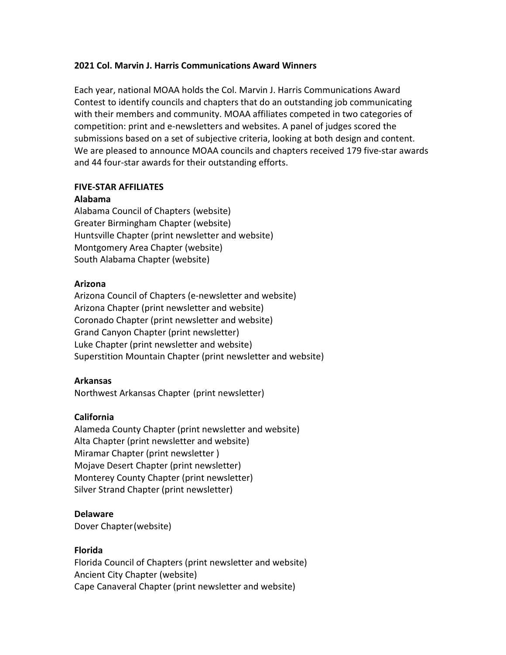# 2021 Col. Marvin J. Harris Communications Award Winners

Each year, national MOAA holds the Col. Marvin J. Harris Communications Award Contest to identify councils and chapters that do an outstanding job communicating with their members and community. MOAA affiliates competed in two categories of competition: print and e-newsletters and websites. A panel of judges scored the submissions based on a set of subjective criteria, looking at both design and content. We are pleased to announce MOAA councils and chapters received 179 five-star awards and 44 four-star awards for their outstanding efforts.

# FIVE-STAR AFFILIATES

# Alabama

Alabama Council of Chapters (website) Greater Birmingham Chapter (website) Huntsville Chapter (print newsletter and website) Montgomery Area Chapter (website) South Alabama Chapter (website)

# Arizona

Arizona Council of Chapters (e-newsletter and website) Arizona Chapter (print newsletter and website) Coronado Chapter (print newsletter and website) Grand Canyon Chapter (print newsletter) Luke Chapter (print newsletter and website) Superstition Mountain Chapter (print newsletter and website)

# Arkansas

Northwest Arkansas Chapter (print newsletter)

# California

Alameda County Chapter (print newsletter and website) Alta Chapter (print newsletter and website) Miramar Chapter (print newsletter ) Mojave Desert Chapter (print newsletter) Monterey County Chapter (print newsletter) Silver Strand Chapter (print newsletter)

# Delaware

Dover Chapter (website)

# Florida

Florida Council of Chapters (print newsletter and website) Ancient City Chapter (website) Cape Canaveral Chapter (print newsletter and website)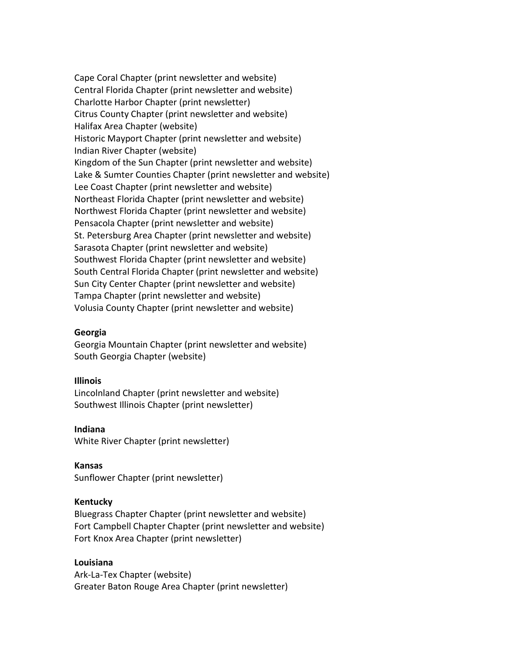Cape Coral Chapter (print newsletter and website) Central Florida Chapter (print newsletter and website) Charlotte Harbor Chapter (print newsletter) Citrus County Chapter (print newsletter and website) Halifax Area Chapter (website) Historic Mayport Chapter (print newsletter and website) Indian River Chapter (website) Kingdom of the Sun Chapter (print newsletter and website) Lake & Sumter Counties Chapter (print newsletter and website) Lee Coast Chapter (print newsletter and website) Northeast Florida Chapter (print newsletter and website) Northwest Florida Chapter (print newsletter and website) Pensacola Chapter (print newsletter and website) St. Petersburg Area Chapter (print newsletter and website) Sarasota Chapter (print newsletter and website) Southwest Florida Chapter (print newsletter and website) South Central Florida Chapter (print newsletter and website) Sun City Center Chapter (print newsletter and website) Tampa Chapter (print newsletter and website) Volusia County Chapter (print newsletter and website)

#### Georgia

Georgia Mountain Chapter (print newsletter and website) South Georgia Chapter (website)

#### Illinois

Lincolnland Chapter (print newsletter and website) Southwest Illinois Chapter (print newsletter)

Indiana White River Chapter (print newsletter)

#### Kansas

Sunflower Chapter (print newsletter)

#### Kentucky

Bluegrass Chapter Chapter (print newsletter and website) Fort Campbell Chapter Chapter (print newsletter and website) Fort Knox Area Chapter (print newsletter)

### Louisiana

Ark-La-Tex Chapter (website) Greater Baton Rouge Area Chapter (print newsletter)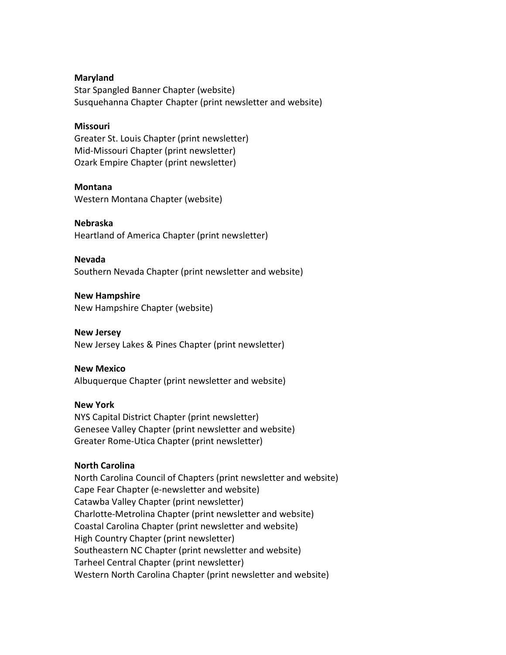#### Maryland

Star Spangled Banner Chapter (website) Susquehanna Chapter Chapter (print newsletter and website)

### **Missouri**

Greater St. Louis Chapter (print newsletter) Mid-Missouri Chapter (print newsletter) Ozark Empire Chapter (print newsletter)

## Montana

Western Montana Chapter (website)

# Nebraska

Heartland of America Chapter (print newsletter)

## Nevada

Southern Nevada Chapter (print newsletter and website)

## New Hampshire New Hampshire Chapter (website)

New Jersey New Jersey Lakes & Pines Chapter (print newsletter)

# New Mexico

Albuquerque Chapter (print newsletter and website)

# New York

NYS Capital District Chapter (print newsletter) Genesee Valley Chapter (print newsletter and website) Greater Rome-Utica Chapter (print newsletter)

# North Carolina

North Carolina Council of Chapters (print newsletter and website) Cape Fear Chapter (e-newsletter and website) Catawba Valley Chapter (print newsletter) Charlotte-Metrolina Chapter (print newsletter and website) Coastal Carolina Chapter (print newsletter and website) High Country Chapter (print newsletter) Southeastern NC Chapter (print newsletter and website) Tarheel Central Chapter (print newsletter) Western North Carolina Chapter (print newsletter and website)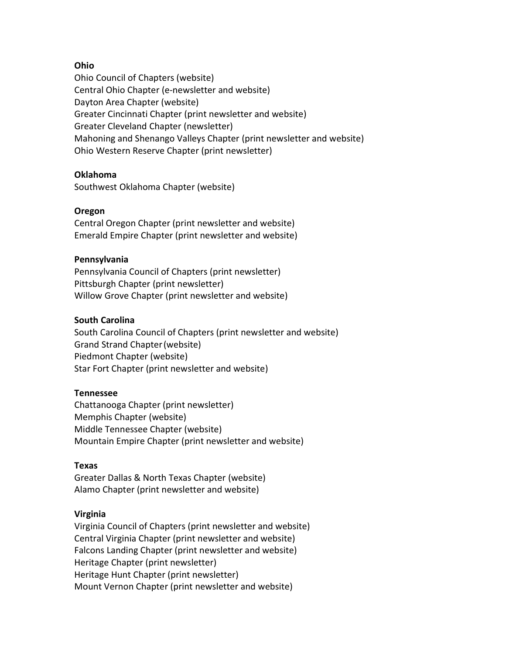# Ohio

Ohio Council of Chapters (website) Central Ohio Chapter (e-newsletter and website) Dayton Area Chapter (website) Greater Cincinnati Chapter (print newsletter and website) Greater Cleveland Chapter (newsletter) Mahoning and Shenango Valleys Chapter (print newsletter and website) Ohio Western Reserve Chapter (print newsletter)

## Oklahoma

Southwest Oklahoma Chapter (website)

## Oregon

Central Oregon Chapter (print newsletter and website) Emerald Empire Chapter (print newsletter and website)

## Pennsylvania

Pennsylvania Council of Chapters (print newsletter) Pittsburgh Chapter (print newsletter) Willow Grove Chapter (print newsletter and website)

## South Carolina

South Carolina Council of Chapters (print newsletter and website) Grand Strand Chapter (website) Piedmont Chapter (website) Star Fort Chapter (print newsletter and website)

#### Tennessee

Chattanooga Chapter (print newsletter) Memphis Chapter (website) Middle Tennessee Chapter (website) Mountain Empire Chapter (print newsletter and website)

#### Texas

Greater Dallas & North Texas Chapter (website) Alamo Chapter (print newsletter and website)

#### Virginia

Virginia Council of Chapters (print newsletter and website) Central Virginia Chapter (print newsletter and website) Falcons Landing Chapter (print newsletter and website) Heritage Chapter (print newsletter) Heritage Hunt Chapter (print newsletter) Mount Vernon Chapter (print newsletter and website)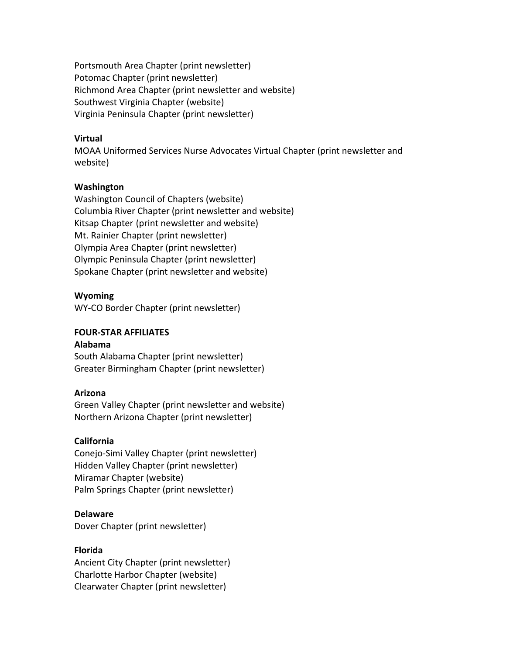Portsmouth Area Chapter (print newsletter) Potomac Chapter (print newsletter) Richmond Area Chapter (print newsletter and website) Southwest Virginia Chapter (website) Virginia Peninsula Chapter (print newsletter)

## Virtual

MOAA Uniformed Services Nurse Advocates Virtual Chapter (print newsletter and website)

## Washington

Washington Council of Chapters (website) Columbia River Chapter (print newsletter and website) Kitsap Chapter (print newsletter and website) Mt. Rainier Chapter (print newsletter) Olympia Area Chapter (print newsletter) Olympic Peninsula Chapter (print newsletter) Spokane Chapter (print newsletter and website)

## Wyoming

WY-CO Border Chapter (print newsletter)

## FOUR-STAR AFFILIATES

## Alabama

South Alabama Chapter (print newsletter) Greater Birmingham Chapter (print newsletter)

#### Arizona

Green Valley Chapter (print newsletter and website) Northern Arizona Chapter (print newsletter)

#### California

Conejo-Simi Valley Chapter (print newsletter) Hidden Valley Chapter (print newsletter) Miramar Chapter (website) Palm Springs Chapter (print newsletter)

#### Delaware

Dover Chapter (print newsletter)

### Florida

Ancient City Chapter (print newsletter) Charlotte Harbor Chapter (website) Clearwater Chapter (print newsletter)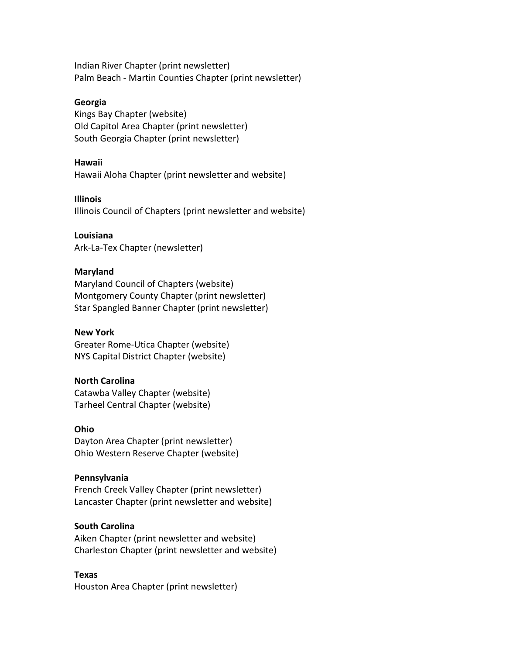Indian River Chapter (print newsletter) Palm Beach - Martin Counties Chapter (print newsletter)

### Georgia

Kings Bay Chapter (website) Old Capitol Area Chapter (print newsletter) South Georgia Chapter (print newsletter)

#### Hawaii

Hawaii Aloha Chapter (print newsletter and website)

## Illinois

Illinois Council of Chapters (print newsletter and website)

## Louisiana

Ark-La-Tex Chapter (newsletter)

# Maryland

Maryland Council of Chapters (website) Montgomery County Chapter (print newsletter) Star Spangled Banner Chapter (print newsletter)

# New York

Greater Rome-Utica Chapter (website) NYS Capital District Chapter (website)

# North Carolina

Catawba Valley Chapter (website) Tarheel Central Chapter (website)

#### Ohio

Dayton Area Chapter (print newsletter) Ohio Western Reserve Chapter (website)

# Pennsylvania

French Creek Valley Chapter (print newsletter) Lancaster Chapter (print newsletter and website)

# South Carolina

Aiken Chapter (print newsletter and website) Charleston Chapter (print newsletter and website)

#### Texas

Houston Area Chapter (print newsletter)